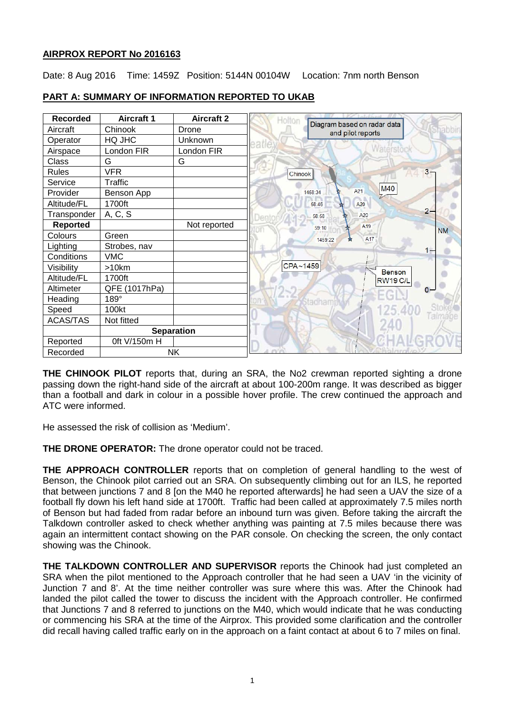# **AIRPROX REPORT No 2016163**

Date: 8 Aug 2016 Time: 1459Z Position: 5144N 00104W Location: 7nm north Benson

| <b>Recorded</b> | <b>Aircraft 1</b> | <b>Aircraft 2</b> | Holton<br>Diagram based on radar data |
|-----------------|-------------------|-------------------|---------------------------------------|
| Aircraft        | Chinook           | Drone             | pabbin<br>and pilot reports           |
| Operator        | HQ JHC            | Unknown           |                                       |
| Airspace        | London FIR        | London FIR        | Naterston                             |
| Class           | G                 | G                 |                                       |
| <b>Rules</b>    | <b>VFR</b>        |                   | $3 -$<br>Chinook                      |
| Service         | Traffic           |                   |                                       |
| Provider        | Benson App        |                   | M40<br>A21<br>1458:34                 |
| Altitude/FL     | 1700ft            |                   | A20<br>58:46                          |
| Transponder     | A, C, S           |                   | $2 -$<br>A20<br>58:58                 |
| <b>Reported</b> |                   | Not reported      | A <sub>19</sub><br>59:10<br><b>NM</b> |
| Colours         | Green             |                   | A17<br>1459:22<br>÷                   |
| Lighting        | Strobes, nav      |                   | $1 -$                                 |
| Conditions      | <b>VMC</b>        |                   |                                       |
| Visibility      | >10km             |                   | CPA~1459<br>Benson                    |
| Altitude/FL     | 1700ft            |                   | <b>RW19 C/L</b>                       |
| Altimeter       | QFE (1017hPa)     |                   | $0 -$                                 |
| Heading         | 189°              |                   | adham                                 |
| Speed           | 100kt             |                   | 125.400                               |
| ACAS/TAS        | Not fitted        |                   | Talmage                               |
|                 | <b>Separation</b> |                   |                                       |
| Reported        | 0ft V/150m H      |                   |                                       |
| Recorded        | <b>NK</b>         |                   |                                       |

# **PART A: SUMMARY OF INFORMATION REPORTED TO UKAB**

**THE CHINOOK PILOT** reports that, during an SRA, the No2 crewman reported sighting a drone passing down the right-hand side of the aircraft at about 100-200m range. It was described as bigger than a football and dark in colour in a possible hover profile. The crew continued the approach and ATC were informed.

He assessed the risk of collision as 'Medium'.

**THE DRONE OPERATOR:** The drone operator could not be traced.

**THE APPROACH CONTROLLER** reports that on completion of general handling to the west of Benson, the Chinook pilot carried out an SRA. On subsequently climbing out for an ILS, he reported that between junctions 7 and 8 [on the M40 he reported afterwards] he had seen a UAV the size of a football fly down his left hand side at 1700ft. Traffic had been called at approximately 7.5 miles north of Benson but had faded from radar before an inbound turn was given. Before taking the aircraft the Talkdown controller asked to check whether anything was painting at 7.5 miles because there was again an intermittent contact showing on the PAR console. On checking the screen, the only contact showing was the Chinook.

**THE TALKDOWN CONTROLLER AND SUPERVISOR** reports the Chinook had just completed an SRA when the pilot mentioned to the Approach controller that he had seen a UAV 'in the vicinity of Junction 7 and 8'. At the time neither controller was sure where this was. After the Chinook had landed the pilot called the tower to discuss the incident with the Approach controller. He confirmed that Junctions 7 and 8 referred to junctions on the M40, which would indicate that he was conducting or commencing his SRA at the time of the Airprox. This provided some clarification and the controller did recall having called traffic early on in the approach on a faint contact at about 6 to 7 miles on final.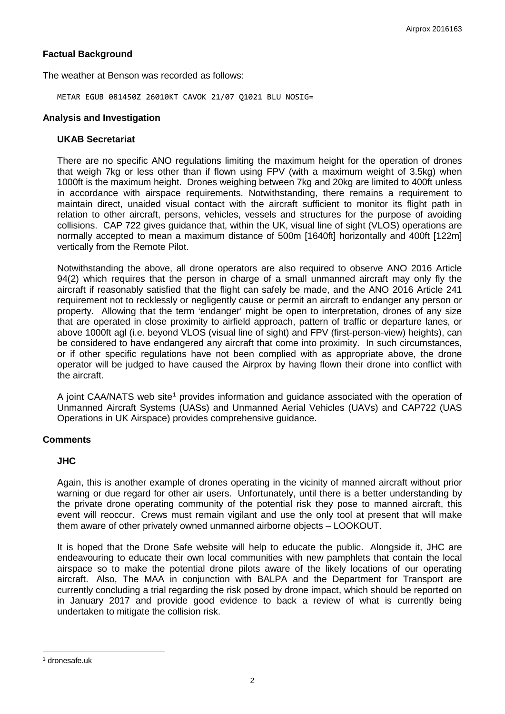# **Factual Background**

The weather at Benson was recorded as follows:

METAR EGUB 081450Z 26010KT CAVOK 21/07 Q1021 BLU NOSIG=

#### **Analysis and Investigation**

#### **UKAB Secretariat**

There are no specific ANO regulations limiting the maximum height for the operation of drones that weigh 7kg or less other than if flown using FPV (with a maximum weight of 3.5kg) when 1000ft is the maximum height. Drones weighing between 7kg and 20kg are limited to 400ft unless in accordance with airspace requirements. Notwithstanding, there remains a requirement to maintain direct, unaided visual contact with the aircraft sufficient to monitor its flight path in relation to other aircraft, persons, vehicles, vessels and structures for the purpose of avoiding collisions. CAP 722 gives guidance that, within the UK, visual line of sight (VLOS) operations are normally accepted to mean a maximum distance of 500m [1640ft] horizontally and 400ft [122m] vertically from the Remote Pilot.

Notwithstanding the above, all drone operators are also required to observe ANO 2016 Article 94(2) which requires that the person in charge of a small unmanned aircraft may only fly the aircraft if reasonably satisfied that the flight can safely be made, and the ANO 2016 Article 241 requirement not to recklessly or negligently cause or permit an aircraft to endanger any person or property. Allowing that the term 'endanger' might be open to interpretation, drones of any size that are operated in close proximity to airfield approach, pattern of traffic or departure lanes, or above 1000ft agl (i.e. beyond VLOS (visual line of sight) and FPV (first-person-view) heights), can be considered to have endangered any aircraft that come into proximity. In such circumstances, or if other specific regulations have not been complied with as appropriate above, the drone operator will be judged to have caused the Airprox by having flown their drone into conflict with the aircraft.

A joint CAA/NATS web site<sup>[1](#page-1-0)</sup> provides information and quidance associated with the operation of Unmanned Aircraft Systems (UASs) and Unmanned Aerial Vehicles (UAVs) and CAP722 (UAS Operations in UK Airspace) provides comprehensive guidance.

### **Comments**

### **JHC**

Again, this is another example of drones operating in the vicinity of manned aircraft without prior warning or due regard for other air users. Unfortunately, until there is a better understanding by the private drone operating community of the potential risk they pose to manned aircraft, this event will reoccur. Crews must remain vigilant and use the only tool at present that will make them aware of other privately owned unmanned airborne objects – LOOKOUT.

It is hoped that the Drone Safe website will help to educate the public. Alongside it, JHC are endeavouring to educate their own local communities with new pamphlets that contain the local airspace so to make the potential drone pilots aware of the likely locations of our operating aircraft. Also, The MAA in conjunction with BALPA and the Department for Transport are currently concluding a trial regarding the risk posed by drone impact, which should be reported on in January 2017 and provide good evidence to back a review of what is currently being undertaken to mitigate the collision risk.

 $\overline{\phantom{a}}$ 

<span id="page-1-0"></span><sup>1</sup> dronesafe.uk